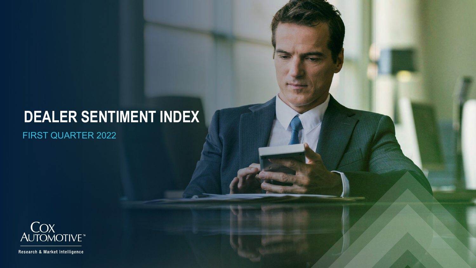# **DEALER SENTIMENT INDEX**

FIRST QUARTER 2022



Research & Market Intelligence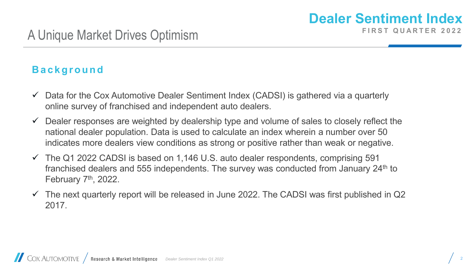#### **B a c k g r o u n d**

- $\checkmark$  Data for the Cox Automotive Dealer Sentiment Index (CADSI) is gathered via a quarterly online survey of franchised and independent auto dealers.
- Dealer responses are weighted by dealership type and volume of sales to closely reflect the national dealer population. Data is used to calculate an index wherein a number over 50 indicates more dealers view conditions as strong or positive rather than weak or negative.
- $\checkmark$  The Q1 2022 CADSI is based on 1,146 U.S. auto dealer respondents, comprising 591 franchised dealers and 555 independents. The survey was conducted from January 24<sup>th</sup> to February 7<sup>th</sup>, 2022.
- $\checkmark$  The next quarterly report will be released in June 2022. The CADSI was first published in Q2 2017.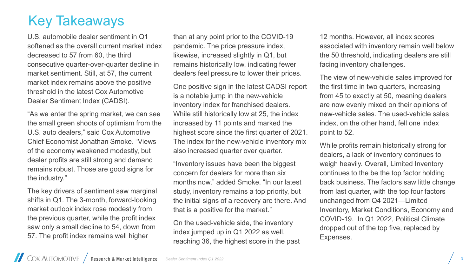## Key Takeaways

U.S. automobile dealer sentiment in Q1 softened as the overall current market index decreased to 57 from 60, the third consecutive quarter-over-quarter decline in market sentiment. Still, at 57, the current market index remains above the positive threshold in the latest Cox Automotive Dealer Sentiment Index (CADSI).

"As we enter the spring market, we can see the small green shoots of optimism from the U.S. auto dealers," said Cox Automotive Chief Economist Jonathan Smoke. "Views of the economy weakened modestly, but dealer profits are still strong and demand remains robust. Those are good signs for the industry."

The key drivers of sentiment saw marginal shifts in Q1. The 3-month, forward-looking market outlook index rose modestly from the previous quarter, while the profit index saw only a small decline to 54, down from 57. The profit index remains well higher

than at any point prior to the COVID-19 pandemic. The price pressure index, likewise, increased slightly in Q1, but remains historically low, indicating fewer dealers feel pressure to lower their prices.

One positive sign in the latest CADSI report is a notable jump in the new-vehicle inventory index for franchised dealers. While still historically low at 25, the index increased by 11 points and marked the highest score since the first quarter of 2021. The index for the new-vehicle inventory mix also increased quarter over quarter.

"Inventory issues have been the biggest concern for dealers for more than six months now," added Smoke. "In our latest study, inventory remains a top priority, but the initial signs of a recovery are there. And that is a positive for the market."

On the used-vehicle side, the inventory index jumped up in Q1 2022 as well, reaching 36, the highest score in the past

12 months. However, all index scores associated with inventory remain well below the 50 threshold, indicating dealers are still facing inventory challenges.

The view of new-vehicle sales improved for the first time in two quarters, increasing from 45 to exactly at 50, meaning dealers are now evenly mixed on their opinions of new-vehicle sales. The used-vehicle sales index, on the other hand, fell one index point to 52.

While profits remain historically strong for dealers, a lack of inventory continues to weigh heavily. Overall, Limited Inventory continues to the be the top factor holding back business. The factors saw little change from last quarter, with the top four factors unchanged from Q4 2021—Limited Inventory, Market Conditions, Economy and COVID-19. In Q1 2022, Political Climate dropped out of the top five, replaced by Expenses.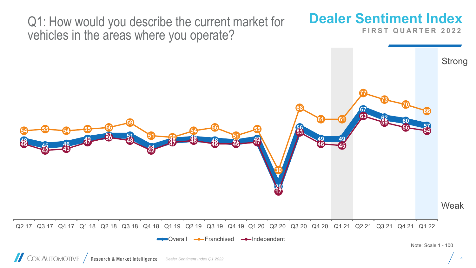Q1: How would you describe the current market for vehicles in the areas where you operate?

## **Dealer Sentiment Index**

**FIRST QUARTER 2022** 

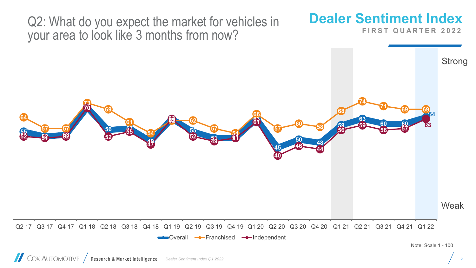Q2: What do you expect the market for vehicles in your area to look like 3 months from now?

## **Dealer Sentiment Index**

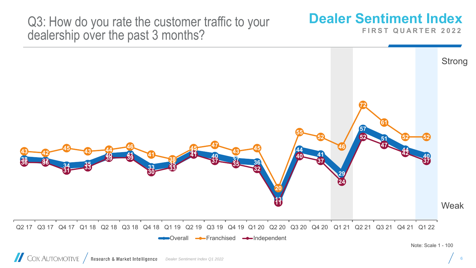Q3: How do you rate the customer traffic to your dealership over the past 3 months?

## **Dealer Sentiment Index**

**FIRST QUARTER 2022** 

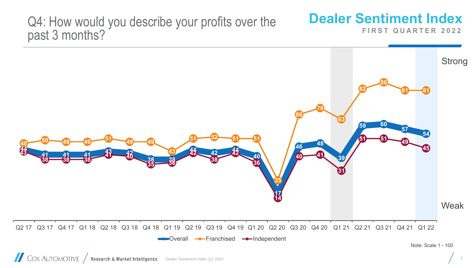#### Q4: How would you describe your profits over the past 3 months?

### **Dealer Sentiment Index**

**FIRST QUARTER 2022** 



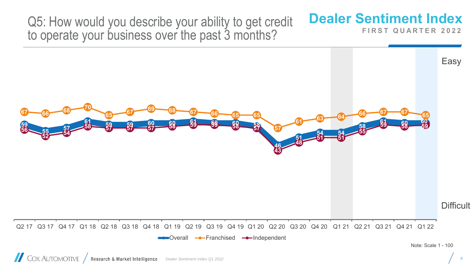Q5: How would you describe your ability to get credit to operate your business over the past 3 months?

## **Dealer Sentiment Index**

**FIRST QUARTER 2022** 



**COX AUTOMOTIVE** / Research & Market Intelligence *Dealer Sentiment Index Q1 2022*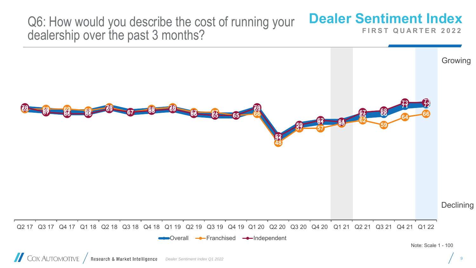Q6: How would you describe the cost of running your dealership over the past 3 months?

## **Dealer Sentiment Index**

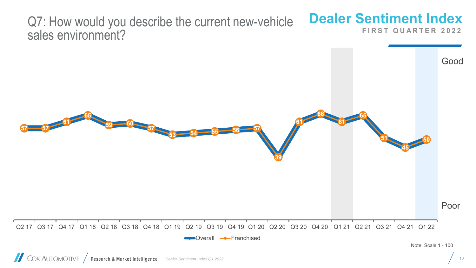#### **Dealer Sentiment Index FIRST QUARTER 2022** Q7: How would you describe the current new-vehicle sales environment?

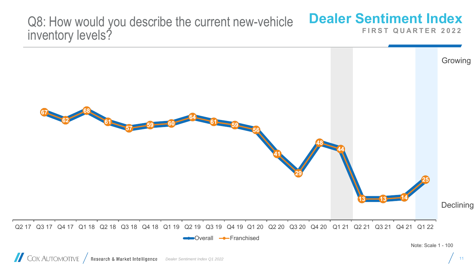#### **Dealer Sentiment Index FIRST QUARTER 2022** Q8: How would you describe the current new-vehicle inventory levels?

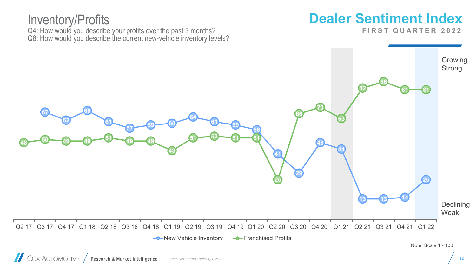#### Inventory/Profits Q4: How would you describe your profits over the past 3 months? Q8: How would you describe the current new-vehicle inventory levels?

## **Dealer Sentiment Index**

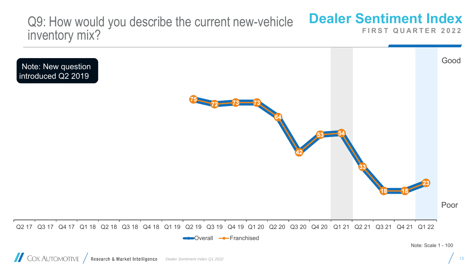#### **Dealer Sentiment Index FIRST QUARTER 2022** Q9: How would you describe the current new-vehicle inventory mix?

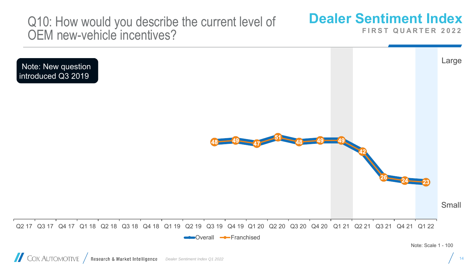Q10: How would you describe the current level of OEM new-vehicle incentives?

### **Dealer Sentiment Index**

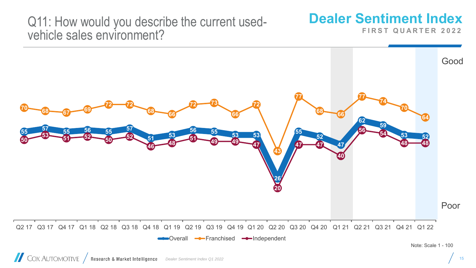#### Q11: How would you describe the current usedvehicle sales environment?

### **Dealer Sentiment Index**

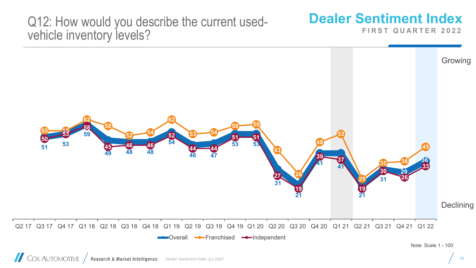#### Q12: How would you describe the current usedvehicle inventory levels?

### **Dealer Sentiment Index**

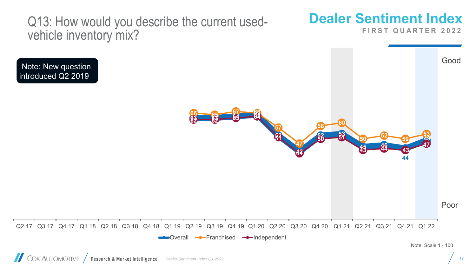#### Q13: How would you describe the current usedvehicle inventory mix?

#### **Dealer Sentiment Index**

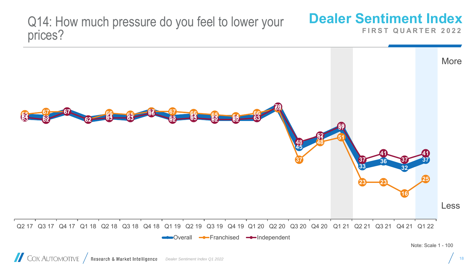Q14: How much pressure do you feel to lower your prices?

## **Dealer Sentiment Index**

**FIRST QUARTER 2022** 

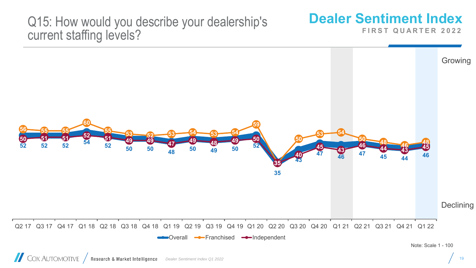#### Q15: How would you describe your dealership's current staffing levels?

## **Dealer Sentiment Index**

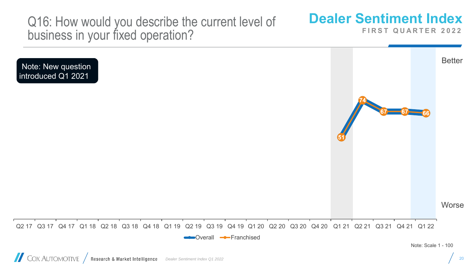Q16: How would you describe the current level of business in your fixed operation?

## **Dealer Sentiment Index**

**FIRST QUARTER 2022** 

**Better Worse 51 74 67 67 66** Q2 17 Q3 17 Q4 17 Q1 18 Q2 18 Q3 18 Q4 18 Q1 19 Q2 19 Q3 19 Q4 19 Q1 20 Q2 20 Q3 20 Q4 20 Q1 21 Q2 21 Q3 21 Q4 21 Q1 22 **Coverall -**Franchised Note: Scale 1 - 100 Note: New question introduced Q1 2021

20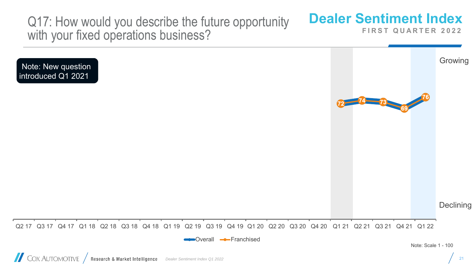Q17: How would you describe the future opportunity with your fixed operations business?

## **Dealer Sentiment Index**

**<sup>72</sup> <sup>74</sup> <sup>73</sup>**

**FIRST QUARTER 2022** 

**69**

**76**

Growing

Note: New question introduced Q1 2021

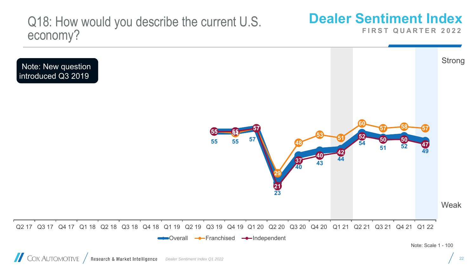Q18: How would you describe the current U.S. economy?

## **Dealer Sentiment Index**

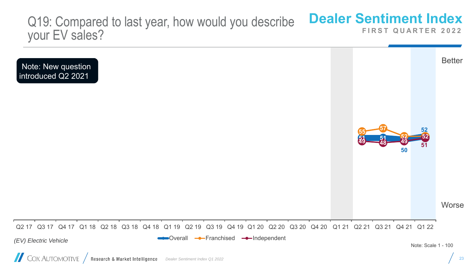#### **Dealer Sentiment Index FIRST QUARTER 2022** Q19: Compared to last year, how would you describe your EV sales?

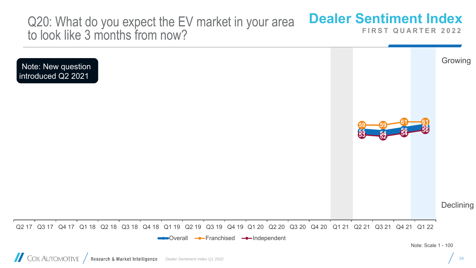Q20: What do you expect the EV market in your area to look like 3 months from now?

## **Dealer Sentiment Index**

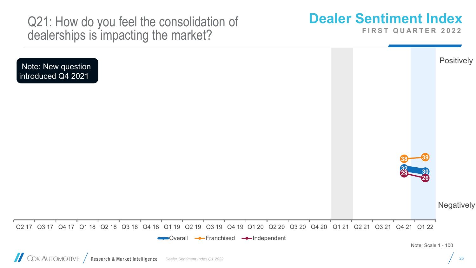Q21: How do you feel the consolidation of dealerships is impacting the market?

## **Dealer Sentiment Index**

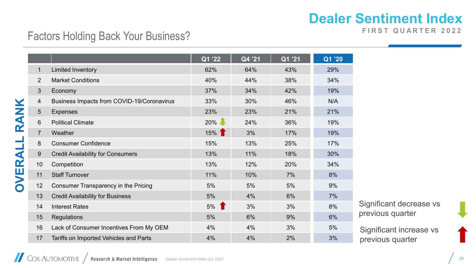#### **FIRST QUARTER 2022**

#### Factors Holding Back Your Business?

|                |                                            | Q1 '22 | Q4 '21 | Q1 '21' | Q1 '20 |
|----------------|--------------------------------------------|--------|--------|---------|--------|
| $\mathbf{1}$   | <b>Limited Inventory</b>                   | 62%    | 64%    | 43%     | 29%    |
| 2              | <b>Market Conditions</b>                   | 40%    | 44%    | 38%     | 34%    |
| $\mathbf{3}$   | Economy                                    | 37%    | 34%    | 42%     | 19%    |
| $\overline{4}$ | Business Impacts from COVID-19/Coronavirus | 33%    | 30%    | 46%     | N/A    |
| $5\phantom{.}$ | <b>Expenses</b>                            | 23%    | 23%    | 21%     | 21%    |
| 6              | <b>Political Climate</b>                   | $20\%$ | 24%    | 36%     | 19%    |
| $\overline{7}$ | Weather                                    | 15%    | 3%     | 17%     | 19%    |
| 8              | <b>Consumer Confidence</b>                 | 15%    | 13%    | 25%     | 17%    |
| 9              | <b>Credit Availability for Consumers</b>   | 13%    | 11%    | 18%     | 30%    |
| 10             | Competition                                | 13%    | 12%    | 20%     | 34%    |
| 11             | <b>Staff Turnover</b>                      | 11%    | 10%    | 7%      | 8%     |
| 12             | Consumer Transparency in the Pricing       | 5%     | 5%     | 5%      | 9%     |
| 13             | <b>Credit Availability for Business</b>    | $5%$   | 4%     | 6%      | 7%     |
| 14             | <b>Interest Rates</b>                      | 5%     | 3%     | 3%      | 8%     |
| 15             | <b>Regulations</b>                         | 5%     | 6%     | 9%      | 6%     |
| 16             | Lack of Consumer Incentives From My OEM    | 4%     | 4%     | 3%      | 5%     |
| 17             | Tariffs on Imported Vehicles and Parts     | 4%     | 4%     | 2%      | 3%     |

Significant decrease vs previous quarter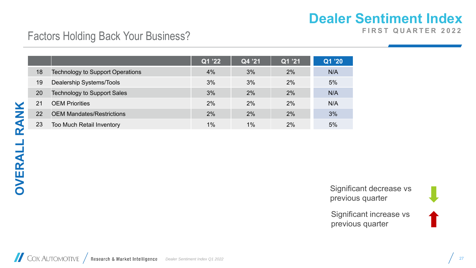**FIRST QUARTER 2022** 

#### Factors Holding Back Your Business?

|    |                                         | Q1 '22 | Q4 '21 | Q1 '21 | Q1 '20 |
|----|-----------------------------------------|--------|--------|--------|--------|
| 18 | <b>Technology to Support Operations</b> | 4%     | 3%     | 2%     | N/A    |
| 19 | Dealership Systems/Tools                | 3%     | 3%     | 2%     | 5%     |
| 20 | <b>Technology to Support Sales</b>      | 3%     | 2%     | 2%     | N/A    |
| 21 | <b>OEM Priorities</b>                   | 2%     | 2%     | 2%     | N/A    |
| 22 | <b>OEM Mandates/Restrictions</b>        | 2%     | 2%     | 2%     | 3%     |
| 23 | <b>Too Much Retail Inventory</b>        | 1%     | 1%     | 2%     | 5%     |

Significant decrease vs previous quarter

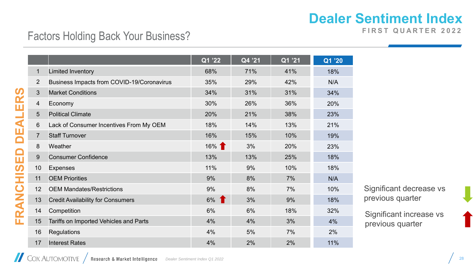**FIRST QUARTER 2022** 

#### Factors Holding Back Your Business?

|                |                                            | Q1 '22 | Q4 '21 | Q1 '21' | $\overline{Q1}$ '20 |
|----------------|--------------------------------------------|--------|--------|---------|---------------------|
| $\mathbf{1}$   | <b>Limited Inventory</b>                   | 68%    | 71%    | 41%     | 18%                 |
| $\overline{2}$ | Business Impacts from COVID-19/Coronavirus | 35%    | 29%    | 42%     | N/A                 |
| 3              | <b>Market Conditions</b>                   | 34%    | 31%    | 31%     | 34%                 |
| 4              | Economy                                    | 30%    | 26%    | 36%     | 20%                 |
| 5              | <b>Political Climate</b>                   | 20%    | 21%    | 38%     | 23%                 |
| 6              | Lack of Consumer Incentives From My OEM    | 18%    | 14%    | 13%     | 21%                 |
| $\overline{7}$ | <b>Staff Turnover</b>                      | 16%    | 15%    | 10%     | 19%                 |
| 8              | Weather                                    | 16% 1  | 3%     | 20%     | 23%                 |
| 9              | <b>Consumer Confidence</b>                 | 13%    | 13%    | 25%     | 18%                 |
| 10             | <b>Expenses</b>                            | 11%    | 9%     | 10%     | 18%                 |
| 11             | <b>OEM Priorities</b>                      | 9%     | 8%     | 7%      | N/A                 |
| 12             | <b>OEM Mandates/Restrictions</b>           | 9%     | 8%     | 7%      | 10%                 |
| 13             | <b>Credit Availability for Consumers</b>   | $6\%$  | 3%     | 9%      | 18%                 |
| 14             | Competition                                | 6%     | 6%     | 18%     | 32%                 |
| 15             | Tariffs on Imported Vehicles and Parts     | 4%     | 4%     | 3%      | 4%                  |
| 16             | <b>Regulations</b>                         | 4%     | 5%     | 7%      | 2%                  |
| 17             | <b>Interest Rates</b>                      | 4%     | 2%     | 2%      | 11%                 |

Significant decrease vs previous quarter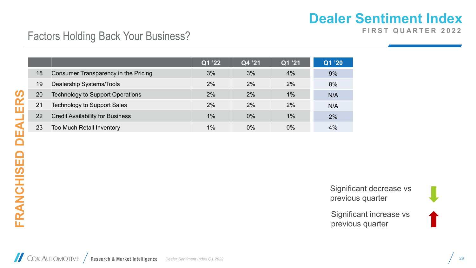**FIRST QUARTER 2022** 

#### Factors Holding Back Your Business?

|    |                                             | Q1 '22 | Q4 '21 | Q1 '21 | Q1 '20 |
|----|---------------------------------------------|--------|--------|--------|--------|
| 18 | <b>Consumer Transparency in the Pricing</b> | 3%     | 3%     | 4%     | 9%     |
| 19 | Dealership Systems/Tools                    | 2%     | 2%     | 2%     | 8%     |
| 20 | <b>Technology to Support Operations</b>     | 2%     | 2%     | 1%     | N/A    |
| 21 | <b>Technology to Support Sales</b>          | 2%     | 2%     | 2%     | N/A    |
| 22 | <b>Credit Availability for Business</b>     | $1\%$  | 0%     | $1\%$  | 2%     |
| 23 | <b>Too Much Retail Inventory</b>            | 1%     | $0\%$  | $0\%$  | 4%     |

FRANCHISED DEALERS **FRANCHISED DEALERS**

Significant decrease vs previous quarter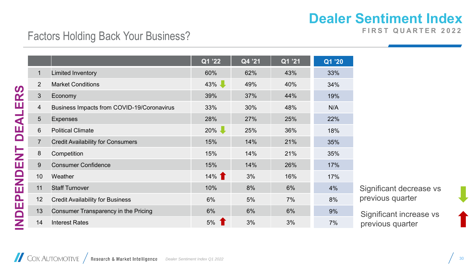**FIRST QUARTER 2022** 

#### Factors Holding Back Your Business?

|                |                                            | Q1 '22   | Q4 '21 | Q1 '21 | Q1 '20 |
|----------------|--------------------------------------------|----------|--------|--------|--------|
| 1              | <b>Limited Inventory</b>                   | 60%      | 62%    | 43%    | 33%    |
| 2              | <b>Market Conditions</b>                   | $43\%$   | 49%    | 40%    | 34%    |
| $\mathfrak{S}$ | Economy                                    | 39%      | 37%    | 44%    | 19%    |
| $\overline{4}$ | Business Impacts from COVID-19/Coronavirus | 33%      | 30%    | 48%    | N/A    |
| $5\phantom{1}$ | <b>Expenses</b>                            | 28%      | 27%    | 25%    | 22%    |
| $6\phantom{1}$ | <b>Political Climate</b>                   | $20\%$   | 25%    | 36%    | 18%    |
| $\overline{7}$ | <b>Credit Availability for Consumers</b>   | 15%      | 14%    | 21%    | 35%    |
| 8              | Competition                                | 15%      | 14%    | 21%    | 35%    |
| 9              | <b>Consumer Confidence</b>                 | 15%      | 14%    | 26%    | 17%    |
| 10             | Weather                                    | $14\%$ 1 | 3%     | 16%    | 17%    |
| 11             | <b>Staff Turnover</b>                      | 10%      | 8%     | 6%     | 4%     |
| 12             | <b>Credit Availability for Business</b>    | 6%       | 5%     | 7%     | 8%     |
| 13             | Consumer Transparency in the Pricing       | 6%       | 6%     | 6%     | 9%     |
| 14             | <b>Interest Rates</b>                      | 5%       | 3%     | 3%     | 7%     |

Significant decrease vs previous quarter

Significant increase vs previous quarter

COX AUTOMOTIVE / Research & Market Intelligence *Dealer Sentiment Index Q1 2022* 30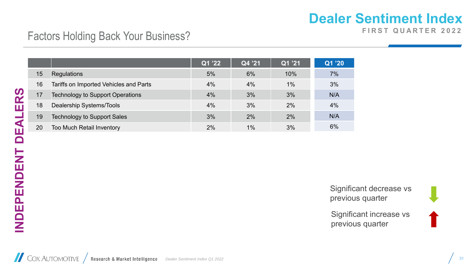**FIRST QUARTER 2022** 

#### Factors Holding Back Your Business?

|    |                                         | Q1 '22 | Q4 '21 | Q1 '21 | Q1 '20 |
|----|-----------------------------------------|--------|--------|--------|--------|
| 15 | <b>Regulations</b>                      | 5%     | 6%     | 10%    | 7%     |
| 16 | Tariffs on Imported Vehicles and Parts  | 4%     | 4%     | $1\%$  | 3%     |
| 17 | <b>Technology to Support Operations</b> | 4%     | 3%     | 3%     | N/A    |
| 18 | <b>Dealership Systems/Tools</b>         | 4%     | 3%     | 2%     | 4%     |
| 19 | <b>Technology to Support Sales</b>      | 3%     | 2%     | 2%     | N/A    |
| 20 | Too Much Retail Inventory               | 2%     | $1\%$  | 3%     | 6%     |

**INDEPENDENT DEALERS** INDEPENDENT DEALERS

Significant decrease vs previous quarter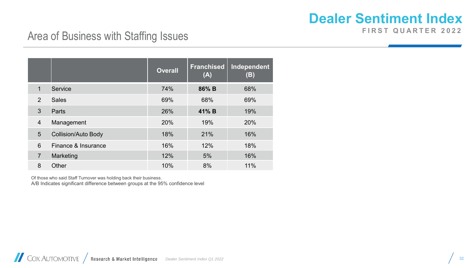**FIRST QUARTER 2022** 

#### Area of Business with Staffing Issues

|                |                            | <b>Overall</b> | <b>Franchised</b><br>(A) | Independent<br>(B) |
|----------------|----------------------------|----------------|--------------------------|--------------------|
| $\mathbf{1}$   | Service                    | 74%            | 86% B                    | 68%                |
| 2              | <b>Sales</b>               | 69%            | 68%                      | 69%                |
| 3              | Parts                      | 26%            | 41% B                    | 19%                |
| $\overline{4}$ | Management                 | 20%            | 19%                      | 20%                |
| 5              | <b>Collision/Auto Body</b> | 18%            | 21%                      | 16%                |
| 6              | Finance & Insurance        | 16%            | 12%                      | 18%                |
| $\overline{7}$ | Marketing                  | 12%            | 5%                       | 16%                |
| 8              | Other                      | 10%            | 8%                       | 11%                |

Of those who said Staff Turnover was holding back their business. A/B Indicates significant difference between groups at the 95% confidence level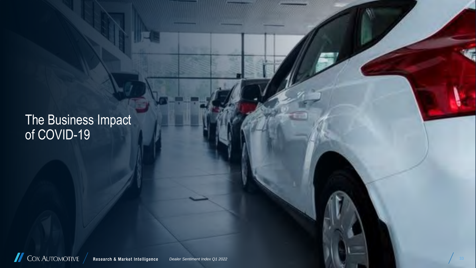The Business Impact of COVID-19

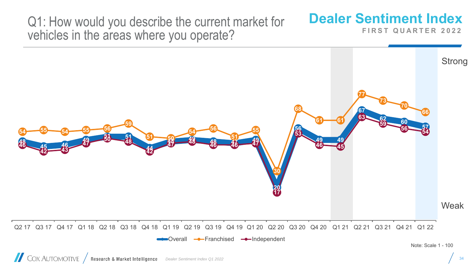Q1: How would you describe the current market for vehicles in the areas where you operate?

## **Dealer Sentiment Index**

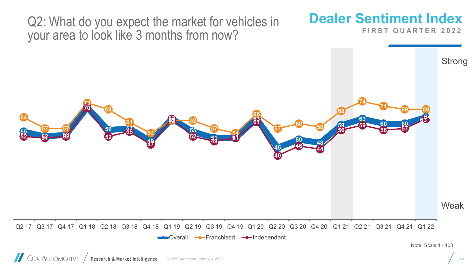Q2: What do you expect the market for vehicles in your area to look like 3 months from now?

## **Dealer Sentiment Index**

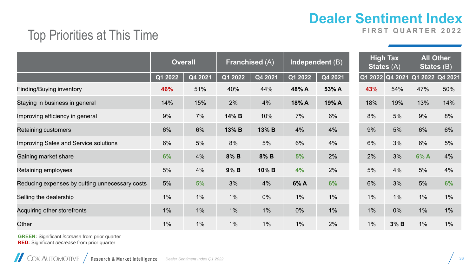#### Top Priorities at This Time

**FIRST QUARTER 2022** 

|                                                | <b>Overall</b> |         | <b>Franchised (A)</b> |         | Independent $(B)$ |         | <b>High Tax</b><br><b>States (A)</b> |      | <b>All Other</b><br>States (B) |       |
|------------------------------------------------|----------------|---------|-----------------------|---------|-------------------|---------|--------------------------------------|------|--------------------------------|-------|
|                                                | Q1 2022        | Q4 2021 | $\overline{Q1}$ 2022  | Q4 2021 | Q1 2022           | Q4 2021 | Q1 2022 Q4 2021                      |      | Q1 2022 Q4 2021                |       |
| Finding/Buying inventory                       | 46%            | 51%     | 40%                   | 44%     | 48% A             | 53% A   | 43%                                  | 54%  | 47%                            | 50%   |
| Staying in business in general                 | 14%            | 15%     | 2%                    | 4%      | 18% A             | 19% A   | 18%                                  | 19%  | 13%                            | 14%   |
| Improving efficiency in general                | 9%             | 7%      | 14% B                 | 10%     | 7%                | 6%      | 8%                                   | 5%   | 9%                             | 8%    |
| Retaining customers                            | 6%             | 6%      | 13% B                 | 13% B   | 4%                | 4%      | 9%                                   | 5%   | 6%                             | 6%    |
| Improving Sales and Service solutions          | 6%             | 5%      | 8%                    | 5%      | 6%                | 4%      | 6%                                   | 3%   | 6%                             | 5%    |
| Gaining market share                           | 6%             | 4%      | 8% B                  | $8\%$ B | 5%                | 2%      | 2%                                   | 3%   | 6%A                            | 4%    |
| Retaining employees                            | 5%             | 4%      | 9% B                  | 10% B   | 4%                | 2%      | 5%                                   | 4%   | 5%                             | 4%    |
| Reducing expenses by cutting unnecessary costs | 5%             | 5%      | 3%                    | 4%      | 6% A              | 6%      | 6%                                   | 3%   | 5%                             | 6%    |
| Selling the dealership                         | $1\%$          | $1\%$   | $1\%$                 | $0\%$   | $1\%$             | $1\%$   | $1\%$                                | 1%   | $1\%$                          | $1\%$ |
| Acquiring other storefronts                    | $1\%$          | $1\%$   | $1\%$                 | $1\%$   | $0\%$             | $1\%$   | $1\%$                                | 0%   | $1\%$                          | $1\%$ |
| Other                                          | $1\%$          | $1\%$   | 1%                    | 1%      | $1\%$             | 2%      | $1\%$                                | 3% B | $1\%$                          | $1\%$ |

**GREEN:** Significant *increase* from prior quarter **RED:** Significant *decrease* from prior quarter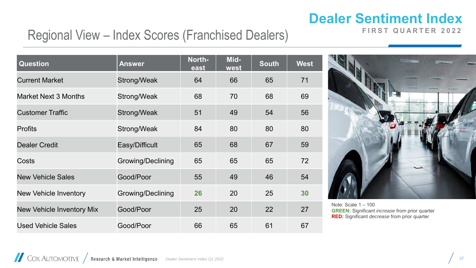**FIRST QUARTER 2022** 

#### Regional View – Index Scores (Franchised Dealers)

| <b>Question</b>           | <b>Answer</b>            | North-<br>east | Mid-<br>west | <b>South</b> | <b>West</b> |
|---------------------------|--------------------------|----------------|--------------|--------------|-------------|
| <b>Current Market</b>     | Strong/Weak              | 64             | 66           | 65           | 71          |
| Market Next 3 Months      | Strong/Weak              | 68             | 70           | 68           | 69          |
| <b>Customer Traffic</b>   | Strong/Weak              | 51             | 49           | 54           | 56          |
| <b>Profits</b>            | Strong/Weak              | 84             | 80           | 80           | 80          |
| <b>Dealer Credit</b>      | Easy/Difficult           | 65             | 68           | 67           | 59          |
| Costs                     | <b>Growing/Declining</b> | 65             | 65           | 65           | 72          |
| <b>New Vehicle Sales</b>  | Good/Poor                | 55             | 49           | 46           | 54          |
| New Vehicle Inventory     | <b>Growing/Declining</b> | 26             | 20           | 25           | 30          |
| New Vehicle Inventory Mix | Good/Poor                | 25             | 20           | 22           | 27          |
| <b>Used Vehicle Sales</b> | Good/Poor                | 66             | 65           | 61           | 67          |



Note: Scale 1 – 100 **GREEN:** Significant *increase* from prior quarter **RED:** Significant *decrease* from prior quarter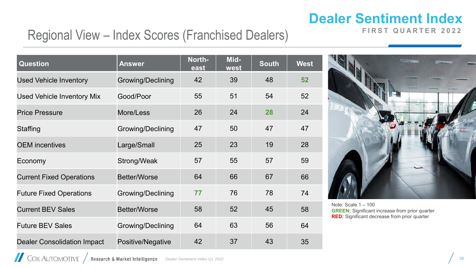#### Regional View – Index Scores (Franchised Dealers)

| <b>Question</b>                    | <b>Answer</b>            | North-<br>east | Mid-<br>west | <b>South</b> | <b>West</b> |
|------------------------------------|--------------------------|----------------|--------------|--------------|-------------|
| <b>Used Vehicle Inventory</b>      | <b>Growing/Declining</b> | 42             | 39           | 48           | 52          |
| <b>Used Vehicle Inventory Mix</b>  | Good/Poor                | 55             | 51           | 54           | 52          |
| <b>Price Pressure</b>              | More/Less                | 26             | 24           | 28           | 24          |
| <b>Staffing</b>                    | <b>Growing/Declining</b> | 47             | 50           | 47           | 47          |
| <b>OEM</b> incentives              | Large/Small              | 25             | 23           | 19           | 28          |
| Economy                            | Strong/Weak              | 57             | 55           | 57           | 59          |
| <b>Current Fixed Operations</b>    | <b>Better/Worse</b>      | 64             | 66           | 67           | 66          |
| <b>Future Fixed Operations</b>     | <b>Growing/Declining</b> | 77             | 76           | 78           | 74          |
| <b>Current BEV Sales</b>           | <b>Better/Worse</b>      | 58             | 52           | 45           | 58          |
| <b>Future BEV Sales</b>            | <b>Growing/Declining</b> | 64             | 63           | 56           | 64          |
| <b>Dealer Consolidation Impact</b> | Positive/Negative        | 42             | 37           | 43           | 35          |



**FIRST QUARTER 2022** 

Note: Scale 1 – 100 **GREEN:** Significant increase from prior quarter **RED:** Significant decrease from prior quarter